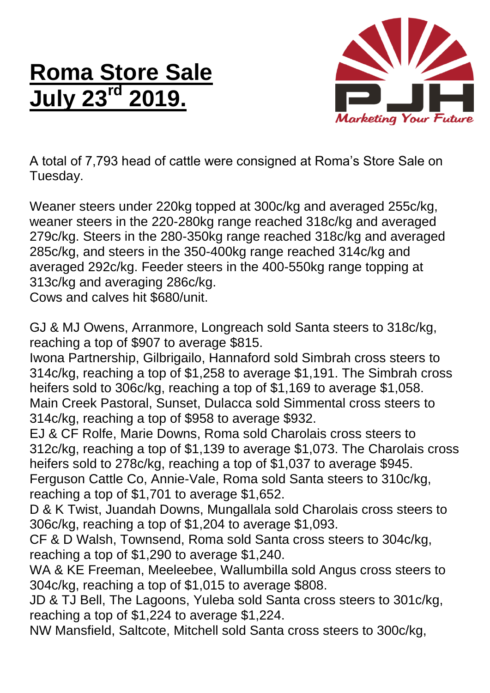## **Roma Store Sale July 23rd 2019.**



A total of 7,793 head of cattle were consigned at Roma's Store Sale on Tuesday.

Weaner steers under 220kg topped at 300c/kg and averaged 255c/kg, weaner steers in the 220-280kg range reached 318c/kg and averaged 279c/kg. Steers in the 280-350kg range reached 318c/kg and averaged 285c/kg, and steers in the 350-400kg range reached 314c/kg and averaged 292c/kg. Feeder steers in the 400-550kg range topping at 313c/kg and averaging 286c/kg.

Cows and calves hit \$680/unit.

GJ & MJ Owens, Arranmore, Longreach sold Santa steers to 318c/kg, reaching a top of \$907 to average \$815.

Iwona Partnership, Gilbrigailo, Hannaford sold Simbrah cross steers to 314c/kg, reaching a top of \$1,258 to average \$1,191. The Simbrah cross heifers sold to 306c/kg, reaching a top of \$1,169 to average \$1,058. Main Creek Pastoral, Sunset, Dulacca sold Simmental cross steers to 314c/kg, reaching a top of \$958 to average \$932.

EJ & CF Rolfe, Marie Downs, Roma sold Charolais cross steers to 312c/kg, reaching a top of \$1,139 to average \$1,073. The Charolais cross heifers sold to 278c/kg, reaching a top of \$1,037 to average \$945. Ferguson Cattle Co, Annie-Vale, Roma sold Santa steers to 310c/kg, reaching a top of \$1,701 to average \$1,652.

D & K Twist, Juandah Downs, Mungallala sold Charolais cross steers to 306c/kg, reaching a top of \$1,204 to average \$1,093.

CF & D Walsh, Townsend, Roma sold Santa cross steers to 304c/kg, reaching a top of \$1,290 to average \$1,240.

WA & KE Freeman, Meeleebee, Wallumbilla sold Angus cross steers to 304c/kg, reaching a top of \$1,015 to average \$808.

JD & TJ Bell, The Lagoons, Yuleba sold Santa cross steers to 301c/kg, reaching a top of \$1,224 to average \$1,224.

NW Mansfield, Saltcote, Mitchell sold Santa cross steers to 300c/kg,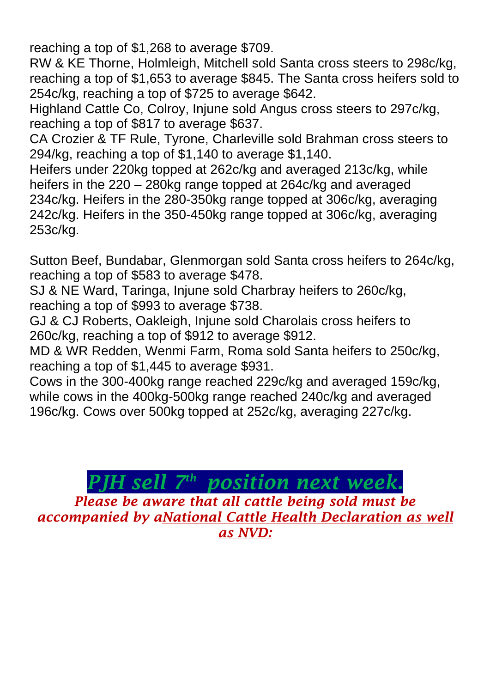reaching a top of \$1,268 to average \$709.

RW & KE Thorne, Holmleigh, Mitchell sold Santa cross steers to 298c/kg, reaching a top of \$1,653 to average \$845. The Santa cross heifers sold to 254c/kg, reaching a top of \$725 to average \$642.

Highland Cattle Co, Colroy, Injune sold Angus cross steers to 297c/kg, reaching a top of \$817 to average \$637.

CA Crozier & TF Rule, Tyrone, Charleville sold Brahman cross steers to 294/kg, reaching a top of \$1,140 to average \$1,140.

Heifers under 220kg topped at 262c/kg and averaged 213c/kg, while heifers in the 220 – 280kg range topped at 264c/kg and averaged 234c/kg. Heifers in the 280-350kg range topped at 306c/kg, averaging 242c/kg. Heifers in the 350-450kg range topped at 306c/kg, averaging 253c/kg.

Sutton Beef, Bundabar, Glenmorgan sold Santa cross heifers to 264c/kg, reaching a top of \$583 to average \$478.

SJ & NE Ward, Taringa, Injune sold Charbray heifers to 260c/kg, reaching a top of \$993 to average \$738.

GJ & CJ Roberts, Oakleigh, Injune sold Charolais cross heifers to 260c/kg, reaching a top of \$912 to average \$912.

MD & WR Redden, Wenmi Farm, Roma sold Santa heifers to 250c/kg, reaching a top of \$1,445 to average \$931.

Cows in the 300-400kg range reached 229c/kg and averaged 159c/kg, while cows in the 400kg-500kg range reached 240c/kg and averaged 196c/kg. Cows over 500kg topped at 252c/kg, averaging 227c/kg.

## *PJH sell 7 th position next week.*

*Please be aware that all cattle being sold must be accompanied by aNational Cattle Health Declaration as well as NVD:*